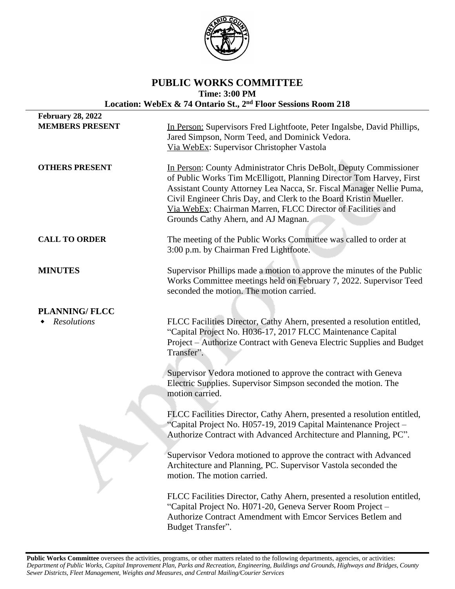

# **PUBLIC WORKS COMMITTEE Time: 3:00 PM Location: WebEx & 74 Ontario St., 2nd Floor Sessions Room 218**

| <b>February 28, 2022</b> |                                                                                                                                                                                                                                                                                                                                                                                             |
|--------------------------|---------------------------------------------------------------------------------------------------------------------------------------------------------------------------------------------------------------------------------------------------------------------------------------------------------------------------------------------------------------------------------------------|
| <b>MEMBERS PRESENT</b>   | In Person: Supervisors Fred Lightfoote, Peter Ingalsbe, David Phillips,<br>Jared Simpson, Norm Teed, and Dominick Vedora.<br>Via WebEx: Supervisor Christopher Vastola                                                                                                                                                                                                                      |
| <b>OTHERS PRESENT</b>    | In Person: County Administrator Chris DeBolt, Deputy Commissioner<br>of Public Works Tim McElligott, Planning Director Tom Harvey, First<br>Assistant County Attorney Lea Nacca, Sr. Fiscal Manager Nellie Puma,<br>Civil Engineer Chris Day, and Clerk to the Board Kristin Mueller.<br>Via WebEx: Chairman Marren, FLCC Director of Facilities and<br>Grounds Cathy Ahern, and AJ Magnan. |
| <b>CALL TO ORDER</b>     | The meeting of the Public Works Committee was called to order at<br>3:00 p.m. by Chairman Fred Lightfoote.                                                                                                                                                                                                                                                                                  |
| <b>MINUTES</b>           | Supervisor Phillips made a motion to approve the minutes of the Public<br>Works Committee meetings held on February 7, 2022. Supervisor Teed<br>seconded the motion. The motion carried.                                                                                                                                                                                                    |
| <b>PLANNING/FLCC</b>     |                                                                                                                                                                                                                                                                                                                                                                                             |
| <b>Resolutions</b>       | FLCC Facilities Director, Cathy Ahern, presented a resolution entitled,<br>"Capital Project No. H036-17, 2017 FLCC Maintenance Capital<br>Project - Authorize Contract with Geneva Electric Supplies and Budget<br>Transfer".                                                                                                                                                               |
|                          | Supervisor Vedora motioned to approve the contract with Geneva<br>Electric Supplies. Supervisor Simpson seconded the motion. The<br>motion carried.                                                                                                                                                                                                                                         |
|                          | FLCC Facilities Director, Cathy Ahern, presented a resolution entitled,<br>"Capital Project No. H057-19, 2019 Capital Maintenance Project -<br>Authorize Contract with Advanced Architecture and Planning, PC".                                                                                                                                                                             |
|                          | Supervisor Vedora motioned to approve the contract with Advanced<br>Architecture and Planning, PC. Supervisor Vastola seconded the<br>motion. The motion carried.                                                                                                                                                                                                                           |
|                          | FLCC Facilities Director, Cathy Ahern, presented a resolution entitled,<br>"Capital Project No. H071-20, Geneva Server Room Project -<br>Authorize Contract Amendment with Emcor Services Betlem and<br>Budget Transfer".                                                                                                                                                                   |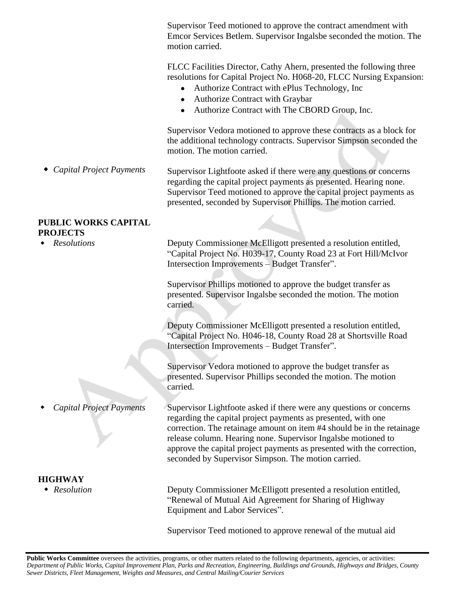Supervisor Teed motioned to approve the contract amendment with Emcor Services Betlem. Supervisor Ingalsbe seconded the motion. The motion carried.

FLCC Facilities Director, Cathy Ahern, presented the following three resolutions for Capital Project No. H068-20, FLCC Nursing Expansion:

- Authorize Contract with ePlus Technology, Inc
- Authorize Contract with Graybar
- Authorize Contract with The CBORD Group, Inc.

Supervisor Vedora motioned to approve these contracts as a block for the additional technology contracts. Supervisor Simpson seconded the motion. The motion carried.

 *Capital Project Payments* Supervisor Lightfoote asked if there were any questions or concerns regarding the capital project payments as presented. Hearing none. Supervisor Teed motioned to approve the capital project payments as presented, seconded by Supervisor Phillips. The motion carried.

### **PUBLIC WORKS CAPITAL PROJECTS**

*Resolutions*

*Capital Project Payments*

#### **HIGHWAY**

Deputy Commissioner McElligott presented a resolution entitled, "Capital Project No. H039-17, County Road 23 at Fort Hill/McIvor Intersection Improvements – Budget Transfer".

Supervisor Phillips motioned to approve the budget transfer as presented. Supervisor Ingalsbe seconded the motion. The motion carried.

Deputy Commissioner McElligott presented a resolution entitled, "Capital Project No. H046-18, County Road 28 at Shortsville Road Intersection Improvements – Budget Transfer".

Supervisor Vedora motioned to approve the budget transfer as presented. Supervisor Phillips seconded the motion. The motion carried.

Supervisor Lightfoote asked if there were any questions or concerns regarding the capital project payments as presented, with one correction. The retainage amount on item #4 should be in the retainage release column. Hearing none. Supervisor Ingalsbe motioned to approve the capital project payments as presented with the correction, seconded by Supervisor Simpson. The motion carried.

 *Resolution* Deputy Commissioner McElligott presented a resolution entitled, "Renewal of Mutual Aid Agreement for Sharing of Highway Equipment and Labor Services".

Supervisor Teed motioned to approve renewal of the mutual aid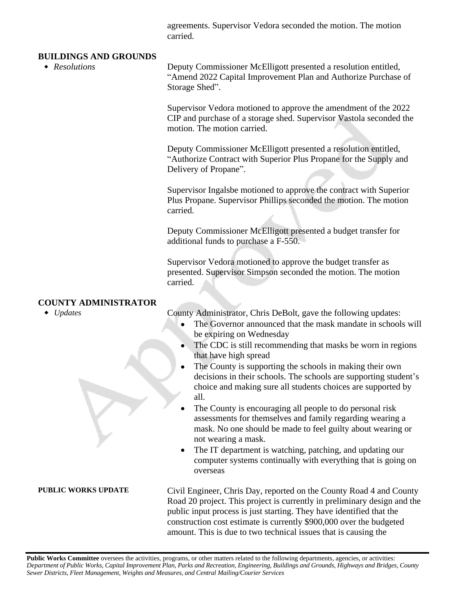agreements. Supervisor Vedora seconded the motion. The motion carried.

#### **BUILDINGS AND GROUNDS**

 *Resolutions* Deputy Commissioner McElligott presented a resolution entitled, "Amend 2022 Capital Improvement Plan and Authorize Purchase of Storage Shed".

> Supervisor Vedora motioned to approve the amendment of the 2022 CIP and purchase of a storage shed. Supervisor Vastola seconded the motion. The motion carried.

Deputy Commissioner McElligott presented a resolution entitled, "Authorize Contract with Superior Plus Propane for the Supply and Delivery of Propane".

Supervisor Ingalsbe motioned to approve the contract with Superior Plus Propane. Supervisor Phillips seconded the motion. The motion carried.

Deputy Commissioner McElligott presented a budget transfer for additional funds to purchase a F-550.

Supervisor Vedora motioned to approve the budget transfer as presented. Supervisor Simpson seconded the motion. The motion carried.

## **COUNTY ADMINISTRATOR**

◆ *Updates* County Administrator, Chris DeBolt, gave the following updates:

- The Governor announced that the mask mandate in schools will be expiring on Wednesday
- The CDC is still recommending that masks be worn in regions that have high spread
- The County is supporting the schools in making their own decisions in their schools. The schools are supporting student's choice and making sure all students choices are supported by all.
- The County is encouraging all people to do personal risk assessments for themselves and family regarding wearing a mask. No one should be made to feel guilty about wearing or not wearing a mask.
- The IT department is watching, patching, and updating our computer systems continually with everything that is going on overseas

PUBLIC WORKS UPDATE Civil Engineer, Chris Day, reported on the County Road 4 and County Road 20 project. This project is currently in preliminary design and the public input process is just starting. They have identified that the construction cost estimate is currently \$900,000 over the budgeted amount. This is due to two technical issues that is causing the

Public Works Committee oversees the activities, programs, or other matters related to the following departments, agencies, or activities: Department of Public Works, Capital Improvement Plan, Parks and Recreation, Engineering, Buildings and Grounds, Highways and Bridges, County *Sewer Districts, Fleet Management, Weights and Measures, and Central Mailing/Courier Services*